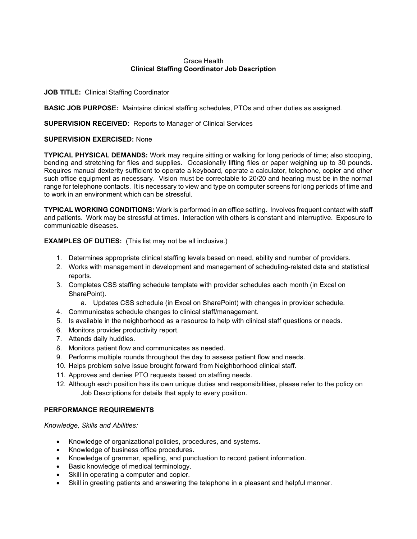## Grace Health Clinical Staffing Coordinator Job Description

## JOB TITLE: Clinical Staffing Coordinator

**BASIC JOB PURPOSE:** Maintains clinical staffing schedules, PTOs and other duties as assigned.

#### SUPERVISION RECEIVED: Reports to Manager of Clinical Services

## SUPERVISION EXERCISED: None

TYPICAL PHYSICAL DEMANDS: Work may require sitting or walking for long periods of time; also stooping, bending and stretching for files and supplies. Occasionally lifting files or paper weighing up to 30 pounds. Requires manual dexterity sufficient to operate a keyboard, operate a calculator, telephone, copier and other such office equipment as necessary. Vision must be correctable to 20/20 and hearing must be in the normal range for telephone contacts. It is necessary to view and type on computer screens for long periods of time and to work in an environment which can be stressful.

TYPICAL WORKING CONDITIONS: Work is performed in an office setting. Involves frequent contact with staff and patients. Work may be stressful at times. Interaction with others is constant and interruptive. Exposure to communicable diseases.

EXAMPLES OF DUTIES: (This list may not be all inclusive.)

- 1. Determines appropriate clinical staffing levels based on need, ability and number of providers.
- 2. Works with management in development and management of scheduling-related data and statistical reports.
- 3. Completes CSS staffing schedule template with provider schedules each month (in Excel on SharePoint).
	- a. Updates CSS schedule (in Excel on SharePoint) with changes in provider schedule.
- 4. Communicates schedule changes to clinical staff/management.
- 5. Is available in the neighborhood as a resource to help with clinical staff questions or needs.
- 6. Monitors provider productivity report.
- 7. Attends daily huddles.
- 8. Monitors patient flow and communicates as needed.
- 9. Performs multiple rounds throughout the day to assess patient flow and needs.
- 10. Helps problem solve issue brought forward from Neighborhood clinical staff.
- 11. Approves and denies PTO requests based on staffing needs.
- 12. Although each position has its own unique duties and responsibilities, please refer to the policy on Job Descriptions for details that apply to every position.

# PERFORMANCE REQUIREMENTS

Knowledge, Skills and Abilities:

- Knowledge of organizational policies, procedures, and systems.
- Knowledge of business office procedures.
- Knowledge of grammar, spelling, and punctuation to record patient information.
- Basic knowledge of medical terminology.
- Skill in operating a computer and copier.
- Skill in greeting patients and answering the telephone in a pleasant and helpful manner.